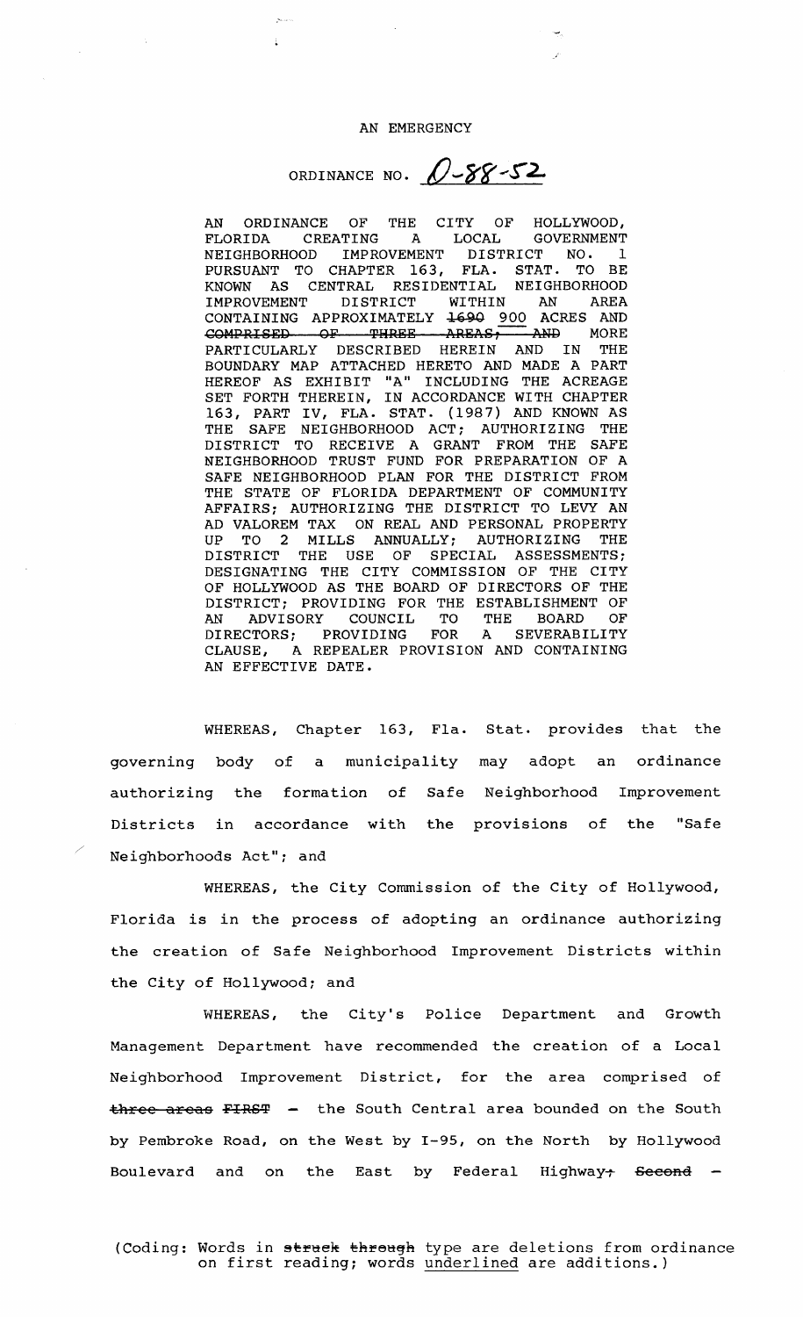## AN EMERGENCY

ORDINANCE NO.  $0-88-52$ 

AN ORDINANCE OF THE CITY OF HOLLYWOOD,<br>FLORIDA CREATING A LOCAL GOVERNMENT FLORIDA CREATING A LOCAL GOVERNMENT NEIGHBORHOOD IMPROVEMENT DISTRICT NO. 1 PURSUANT TO CHAPTER 163, FLA. STAT. TO BE KNOWN AS CENTRAL RESIDENTIAL NEIGHBORHOOD IMPROVEMENT DISTRICT WITHIN AN AREA CONTAINING APPROXIMATELY 1690 900 ACRES AND<br>COMPRISED OF THREE AREAS, AND MORE COMPRISED OF THREE AREAS, AND MORE<br>PARTICULARLY DESCRIBED HEREIN AND IN THE BOUNDARY MAP ATTACHED HERETO AND MADE A PART HEREOF AS EXHIBIT "A" INCLUDING THE ACREAGE SET FORTH THEREIN, IN ACCORDANCE WITH CHAPTER 163, PART IV, FLA. STAT. ( 1987) AND KNOWN AS THE SAFE NEIGHBORHOOD ACT; AUTHORIZING THE DISTRICT TO RECEIVE A GRANT FROM THE SAFE NEIGHBORHOOD TRUST FUND FOR PREPARATION OF A SAFE NEIGHBORHOOD PLAN FOR THE DISTRICT FROM THE STATE OF FLORIDA DEPARTMENT OF COMMUNITY AFFAIRS; AUTHORIZING THE DISTRICT TO LEVY AN AD VALOREM TAX ON REAL AND PERSONAL PROPERTY UP TO 2 MILLS ANNUALLY; AUTHORIZING THE DISTRICT THE USE OF SPECIAL ASSESSMENTS; DESIGNATING THE CITY COMMISSION OF THE CITY OF HOLLYWOOD AS THE BOARD OF DIRECTORS OF THE DISTRICT; PROVIDING FOR THE ESTABLISHMENT OF AN ADVISORY COUNCIL TO THE BOARD OF<br>DIRECTORS; PROVIDING FOR A SEVERABILITY DIRECTORS; PROVIDING FOR CLAUSE, A REPEALER PROVISION AND CONTAINING AN EFFECTIVE DATE.

WHEREAS, Chapter 163, Fla. Stat. provides that the governing body of <sup>a</sup> municipality may adopt an ordinance authorizing the formation of Safe Neighborhood Improvement Districts in accordance with the provisions of the "Safe Neighborhoods Act"; and

WHEREAS, the City Commission of the City of Hollywood, Florida is in the process of adopting an ordinance authorizing the creation of Safe Neighborhood Improvement Districts within the City of Hollywood; and

WHEREAS, the City's Police Department and Growth Management Department have recommended the creation of <sup>a</sup> Local Neighborhood Improvement District, for the area comprised of  $three-areas$  FIRST - the South Central area bounded on the South by Pembroke Road, on the West by 1- 95, on the North by Hollywood Boulevard and on the East by Federal Highway<del>: Second</del> -

(Coding: Words in struck through type are deletions from ordinance on first reading; words underlined are additions.)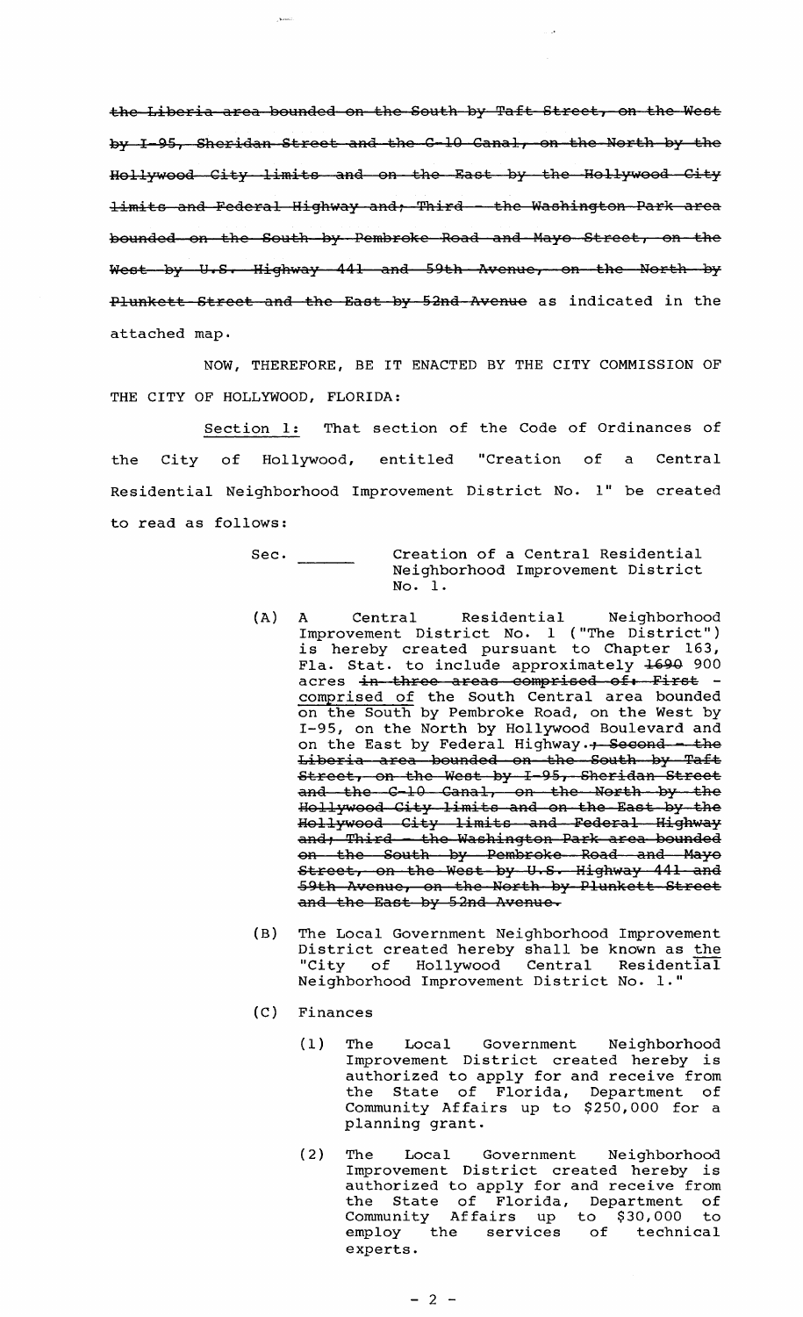the Liberia area bounded on the South by Taft Street, on the West by I-95, Sheridan Street and the C-10 Canal, on the North by the Hollywood City limits and on the East by the Hollywood City limits and Federal Highway and; Third - the Washington Park area bounded on the South by Pembroke Road and Mayo Street, on the weaking on the south  $z_f$  remarking from the Milliam  $\frac{1}{2}$  is the North by West by U.S. Highway 441 and 59th Avenue, on the North by Plunkett Street and the East by 52nd Avenue as indicated in the attached map.

NOW, THEREFORE, BE IT ENACTED BY THE CITY COMMISSION OF THE CITY OF HOLLYWOOD, FLORIDA:

Section 1: That section of the Code of Ordinances of the City of Hollywood, entitled "Creation of a Central Residential Neighborhood Improvement District No. 1" be created to read as follows:

- Sec. Creation of <sup>a</sup> Central Residential Neighborhood Improvement District No. 1.
- A) A Central Residential Neighborhood Improvement District No. 1 (" The District") is hereby created pursuant to Chapter 163 Fla. Stat. to include approximately 1690 900 acres in three areas comprised of. First comprised of the South Central area bounded on the South by Pembroke Road, on the West by 1- 95, on the North by Hollywood Boulevard and on the East by Federal Highway.  $+$  Second - the Liberia area bounded on the South by Taft Street, on the West by I-95, Sheridan Street treet, on the West by I-95, Sheridan Street<br>nd the C-10 Canal, on the North by the and the C-10 Canal, on the North by the<br>Hollywood City limits and on the East by the Hollywood City limits and Federal Highway and; Third - the Washington Park area bounded on tho South by Pembroke Road and Hayo on the South by Femmroke Roud and huje<br>Street, on the West by U.S. Highway 441 and<br>59th Avenue, on the North by Plunkett Street and the East by 52nd Avenue.
- B) The Local Government Neighborhood Improvement District created hereby shall be known as the<br>"City of Hollywood Central Residential of Hollywood Central Residential Neighborhood Improvement District No. 1."
- C) Finances
	- 1) The Local Government Neighborhood Improvement District created hereby is authorized to apply for and receive from the State of Florida, Department of Community Affairs up to \$250,000 for a planning grant.
	- 2) The Local Government Neighborhood Improvement District created hereby is authorized to apply for and receive from the State of Florida, Department of che beate of florida, bepartment of employ the services of technical experts.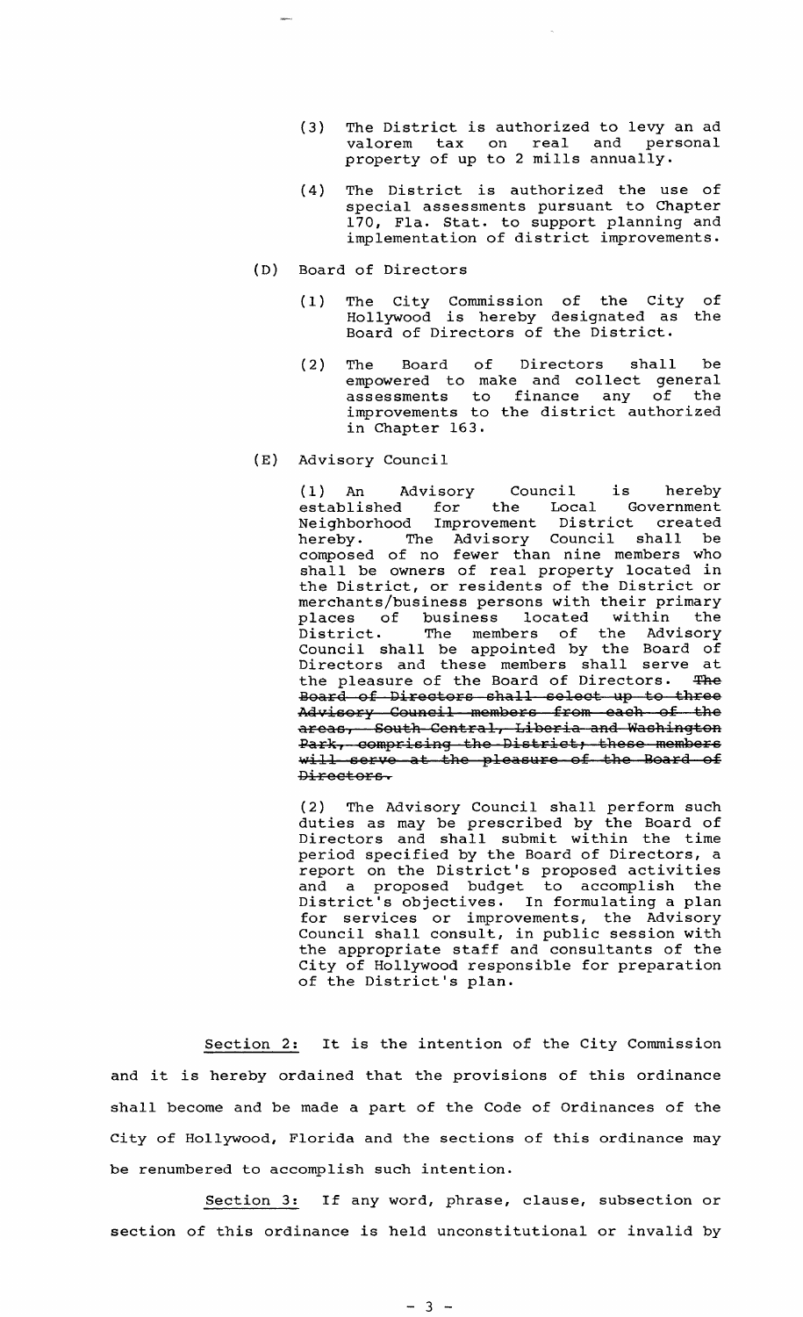- 3) The District is authorized to levy an ad valorem tax on real and personal property of up to <sup>2</sup> mills annually.
- 4) The District is authorized the use of special assessments pursuant to Chapter 170, Fla. Stat. to support planning and implementation of district improvements.
- D) Board of Directors
	- 1) The City Commission of the City Hollywood is hereby designated as Board of Directors of the District. of the
	- 2) The Board of Directors shall be empowered to make and collect general assessments to finance any of the improvements to the district authorized in Chapter 163.
- E) Advisory Council

1) An Advisory Council is hereby established for the Local Government Neighborhood Improvement District created hereby. The Advisory Council shall be composed of no fewer than nine members who shall be owners of real property located in shall be owners of real property focated in<br>the District, or residents of the District or merchants/business persons with their primary<br>places of business located within the of business located within praces of business focated within the<br>District. The members of the Advisory Council shall be appointed by the Board of Directors and these members shall serve at the pleasure of the Board of Directors. The Board of Directors shall select up to three Advisory Council members from each of the areas, South Central, Liberia and Washington Park, comprising the District, these members will serve at the pleasure of the Board of Directors.

2) The Advisory Council shall perform such duties as may be prescribed by the Board of Directors and shall submit within the time period specified by the Board of Directors, <sup>a</sup> period specified by the board of bifectors, a and <sup>a</sup> proposed budget to accomplish the District's objectives. In formulating a plan for services or improvements, the Advisory Council shall consult, in public session with the appropriate staff and consultants of the City of Hollywood responsible for preparation of the District's plan.

Section 2: It is the intention of the City Commission and it is hereby ordained that the provisions of this ordinance shall become and be made <sup>a</sup> part of the Code of Ordinances of the City of Hollywood, Florida and the sections of this ordinance may be renumbered to accomplish such intention.

Section 3: If any word, phrase, clause, subsection or section of this ordinance is held unconstitutional or invalid by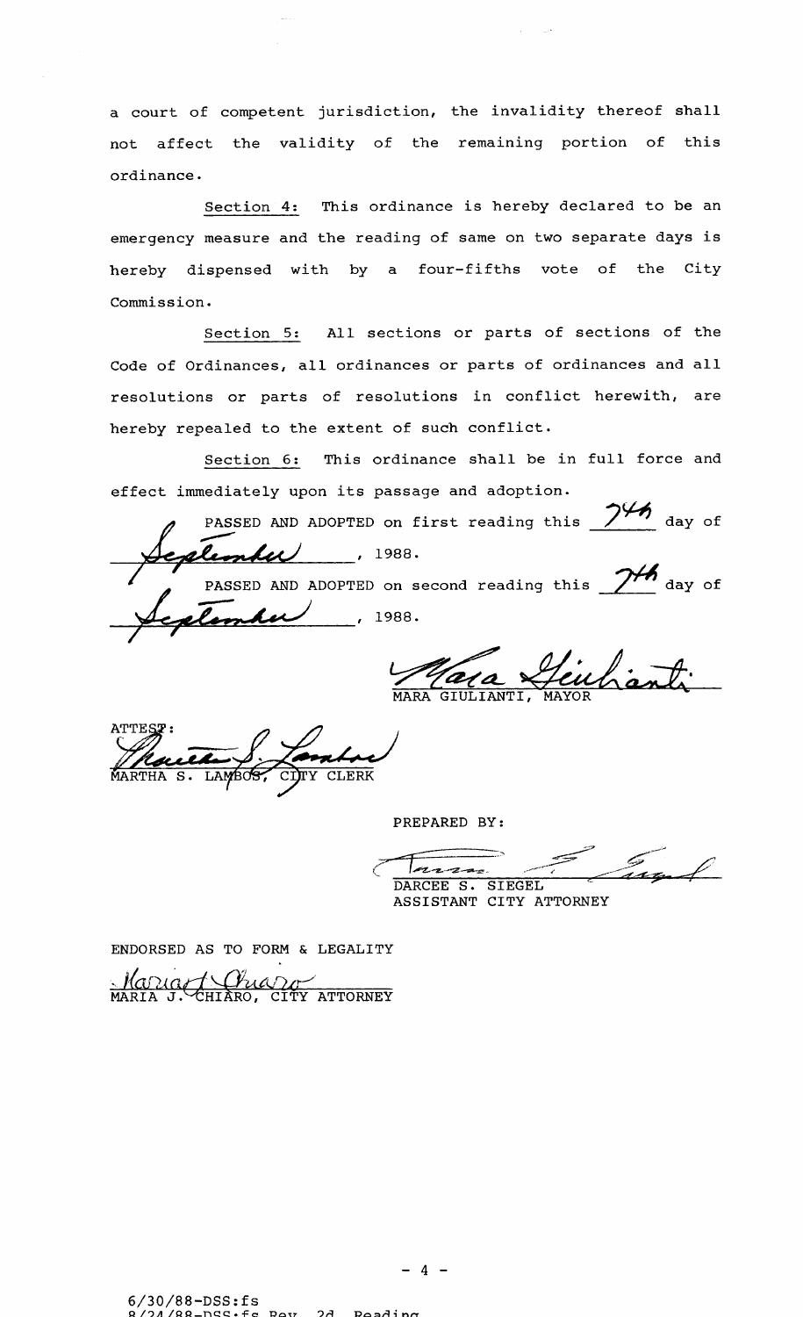<sup>a</sup> court of competent jurisdiction, the invalidity thereof shall not affect the validity of the remaining portion of this ordinance.

Section 4: This ordinance is hereby declared to be an emergency measure and the reading of same on two separate days is hereby dispensed with by a four-fifths vote of the City Commission.

Section 5: All sections or parts of sections of the Code of Ordinances, all ordinances or parts of ordinances and all resolutions or parts of resolutions in conflict herewith, are hereby repealed to the extent of such conflict.

Section 6: This ordinance shall be in full force and effect immediately upon its passage and adoption.

t immediately upon its pass. SED AND ADOPTED on first reading this  $\frac{745}{ }$  day of PASSED AND ADOPTED on second reading this  $\frac{1}{2}$  day of etember 1988.

MARA GIULIANTI, MAYOR

**Contre** 

PREPARED BY:

y //  $rac{1}{4}$ <u>Azzz</u> ASSISTANT CITY ATTORNEY

ENDORSED AS TO FORM & LEGALITY

Maria 1. Chiang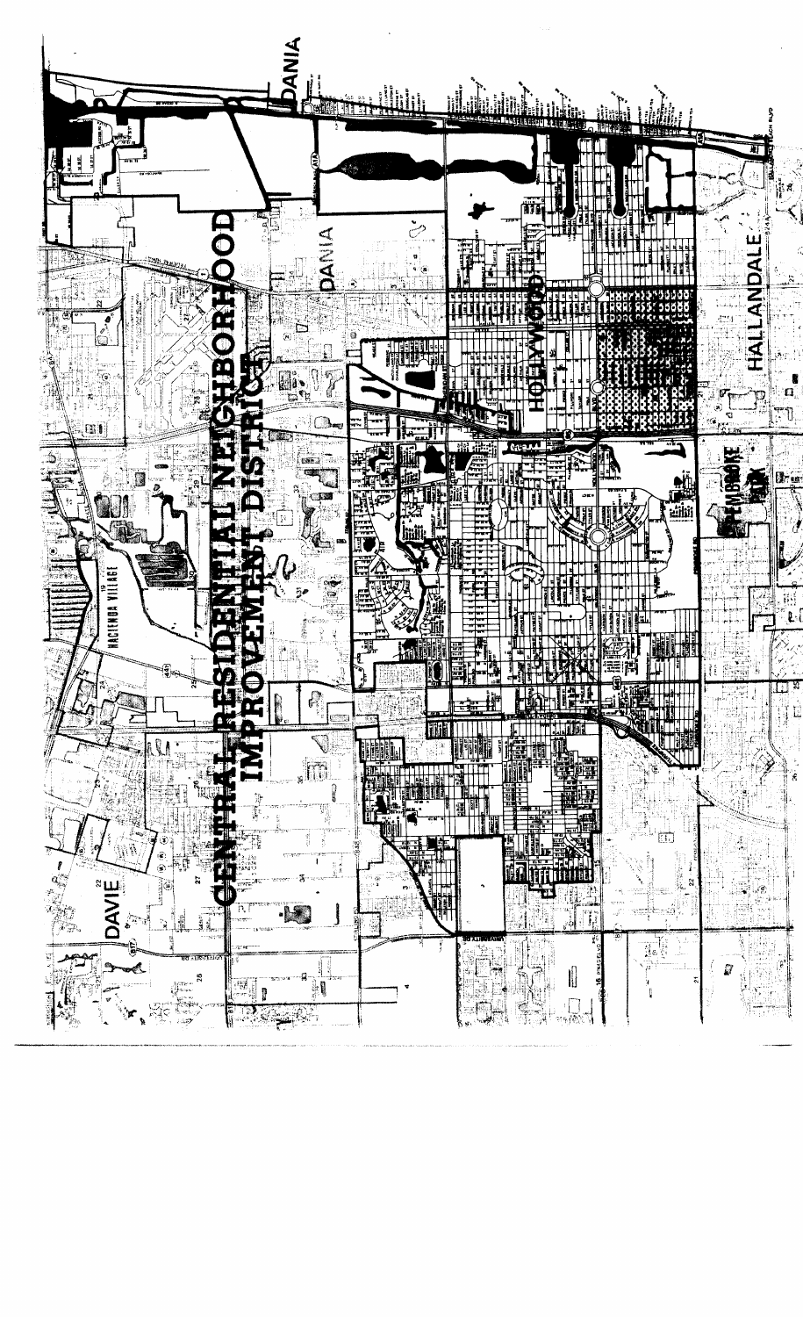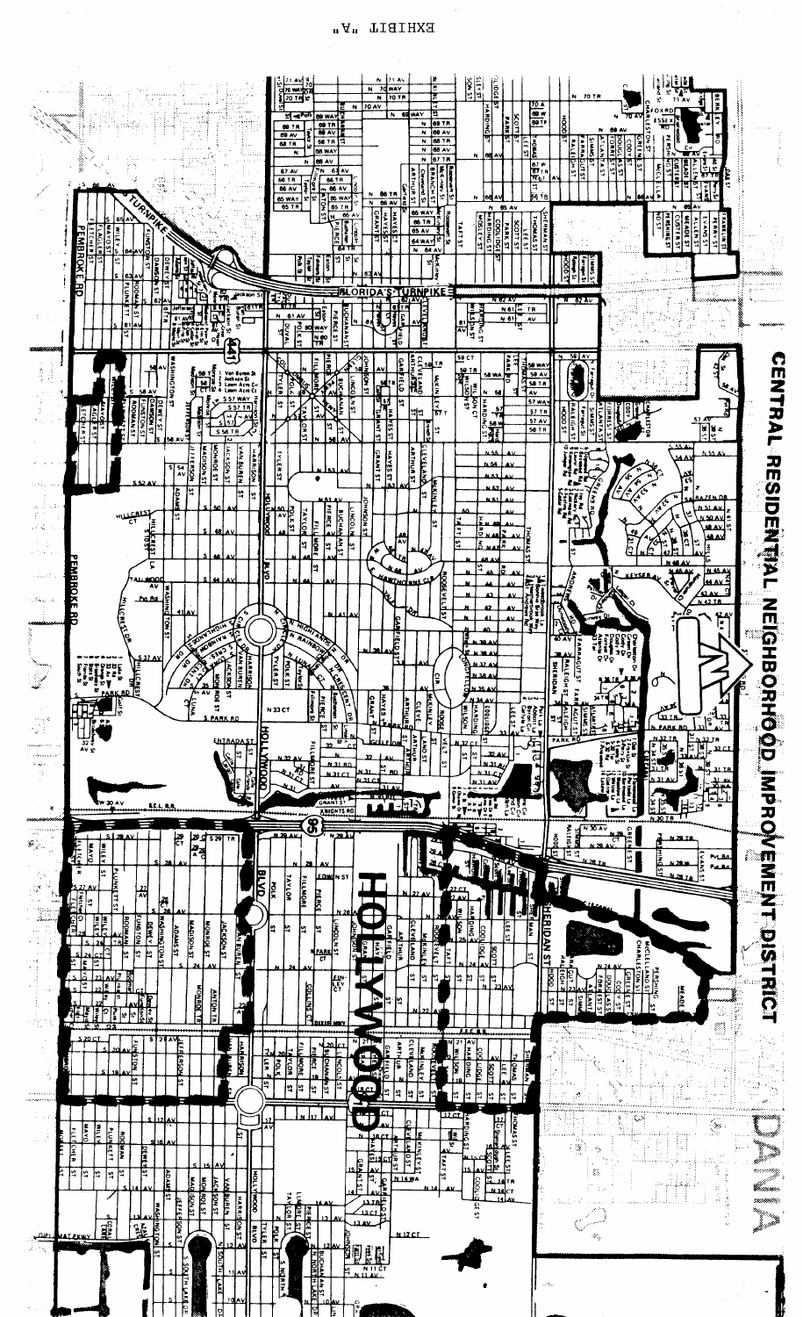

EXHIBIL uV